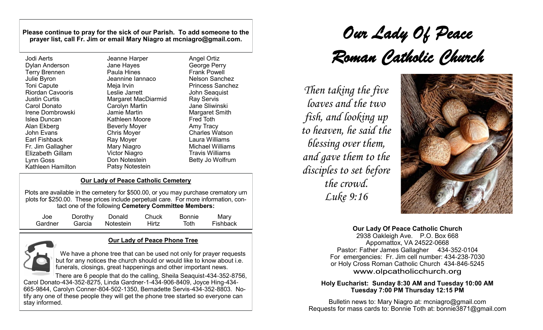**Please continue to pray for the sick of our Parish. To add someone to the prayer list, call Fr. Jim or email Mary Niagro at mcniagro@gmail.com.**

| Jodi Aerts              | Jeanne         |
|-------------------------|----------------|
| Dylan Anderson          | Jane Ha        |
| <b>Terry Brennen</b>    | Paula H        |
| Julie Byron             | Jeannin        |
| <b>Toni Capute</b>      | Meja Irv       |
| <b>Riordan Cavooris</b> | Leslie J       |
| <b>Justin Curtis</b>    | Margare        |
| Carol Donato            | Carolyn        |
| Irene Dombrowski        | Jamie N        |
| Islea Duncan            | Kathlee        |
| Alan Ekberg             | <b>Beverly</b> |
| <b>John Evans</b>       | Chris M        |
| Earl Fishback           | Ray Mo         |
| Fr. Jim Gallagher       | Mary Ni        |
| <b>Elizabeth Gillam</b> | Victor N       |
| Lynn Goss               | Don No         |
| Kathleen Hamilton       | Patsy N        |

Harper ayes Hines he Iannaco vin larrett et MacDiarmid Martin Martin en Moore Moyer loyer ver iagro Viagro اtestein Iotestein

Angel Ortiz George Perry Frank Powell Nelson Sanchez Princess Sanchez John Seaquist Ray Servis Jane Sliwinski Margaret Smith Fred Toth Amy Tracy Charles Watson Laura Williams Michael Williams Travis Williams Betty Jo Wolfrum

## **Our Lady of Peace Catholic Cemetery**

Plots are available in the cemetery for \$500.00, or you may purchase crematory urn plots for \$250.00.These prices include perpetual care. For more information, contact one of the following **Cemetery Committee Members:**

| Joe     | Dorothy | Donald           | Chuck | <b>Bonnie</b> | Mary     |
|---------|---------|------------------|-------|---------------|----------|
| Gardner |         | Garcia Notestein | Hirtz | Toth          | Fishback |

# **Our Lady of Peace Phone Tree**

We have a phone tree that can be used not only for prayer requests but for any notices the church should or would like to know about i.e. funerals, closings, great happenings and other important news.

There are 6 people that do the calling, Sheila Seaquist-434-352-8756, Carol Donato-434-352-8275, Linda Gardner-1-434-906-8409, Joyce Hing-434- 665-9844, Carolyn Conner-804-502-1350, Bernadette Servis-434-352-8803. Notify any one of these people they will get the phone tree started so everyone can stay informed.

# *Our Lady Of Peace Roman Catholic Church*

*Then taking the five loaves and the two fish, and looking up to heaven, he said the blessing over them, and gave them to the disciples to set before the crowd. Luke 9:16*



#### **Our Lady Of Peace Catholic Church**

2938 Oakleigh Ave. P.O. Box 668 Appomattox, VA 24522-0668 Pastor: Father James Gallagher 434-352-0104 For emergencies: Fr. Jim cell number: 434-238-7030 or Holy Cross Roman Catholic Church 434-846-5245 www.olpcatholicchurch.org

#### **Holy Eucharist: Sunday 8:30 AM and Tuesday 10:00 AM Tuesday 7:00 PM Thursday 12:15 PM**

Bulletin news to: Mary Niagro at: mcniagro@gmail.com Requests for mass cards to: Bonnie Toth at: [bonnie3871@gmail.com](mailto:bonnie3871@gmail.com)